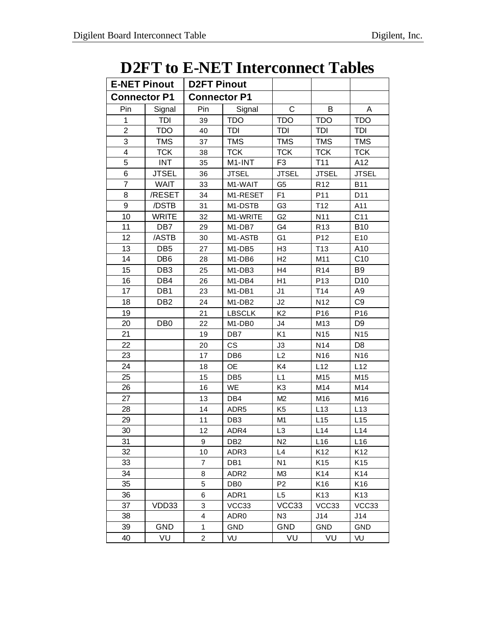## **D2FT to E-NET Interconnect Tables**

| <b>E-NET Pinout</b> |                 | <b>D2FT Pinout</b>      |                                 |                |                 |                 |
|---------------------|-----------------|-------------------------|---------------------------------|----------------|-----------------|-----------------|
| <b>Connector P1</b> |                 | <b>Connector P1</b>     |                                 |                |                 |                 |
| Pin                 | Signal          | Pin                     | Signal                          | $\mathsf{C}$   | B               | A               |
| 1                   | TDI             | 39                      | <b>TDO</b>                      | <b>TDO</b>     | <b>TDO</b>      | <b>TDO</b>      |
| $\overline{c}$      | <b>TDO</b>      | 40                      | <b>TDI</b>                      | <b>TDI</b>     | <b>TDI</b>      | <b>TDI</b>      |
| 3                   | <b>TMS</b>      | 37                      | <b>TMS</b>                      | <b>TMS</b>     | <b>TMS</b>      | <b>TMS</b>      |
| 4                   | <b>TCK</b>      | 38                      | <b>TCK</b>                      | <b>TCK</b>     | <b>TCK</b>      | <b>TCK</b>      |
| 5                   | <b>INT</b>      | 35                      | M1-INT                          | F <sub>3</sub> | T11             | A12             |
| 6                   | <b>JTSEL</b>    | 36                      | <b>JTSEL</b>                    | <b>JTSEL</b>   | <b>JTSEL</b>    | <b>JTSEL</b>    |
| $\overline{7}$      | <b>WAIT</b>     | 33                      | M1-WAIT                         | G <sub>5</sub> | R <sub>12</sub> | <b>B11</b>      |
| 8                   | /RESET          | 34                      | M1-RESET                        | F <sub>1</sub> | P11             | D11             |
| 9                   | /DSTB           | 31                      | M1-DSTB                         | G <sub>3</sub> | T12             | A11             |
| 10                  | <b>WRITE</b>    | 32                      | M1-WRITE                        | G <sub>2</sub> | N11             | C <sub>11</sub> |
| 11                  | DB7             | 29                      | M1-DB7                          | G4             | R <sub>13</sub> | <b>B10</b>      |
| 12                  | /ASTB           | 30                      | M1-ASTB                         | G <sub>1</sub> | P <sub>12</sub> | E10             |
| 13                  | DB <sub>5</sub> | 27                      | M <sub>1</sub> -DB <sub>5</sub> | H <sub>3</sub> | T <sub>13</sub> | A10             |
| 14                  | DB <sub>6</sub> | 28                      | M1-DB6                          | H2             | M11             | C <sub>10</sub> |
| 15                  | DB <sub>3</sub> | 25                      | M1-DB3                          | H <sub>4</sub> | R <sub>14</sub> | B <sub>9</sub>  |
| 16                  | DB4             | 26                      | M1-DB4                          | H1             | P <sub>13</sub> | D <sub>10</sub> |
| 17                  | DB1             | 23                      | M1-DB1                          | J1             | T14             | A9              |
| 18                  | DB <sub>2</sub> | 24                      | M1-DB2                          | J2             | N12             | C <sub>9</sub>  |
| 19                  |                 | 21                      | <b>LBSCLK</b>                   | K <sub>2</sub> | P <sub>16</sub> | P <sub>16</sub> |
| 20                  | DB <sub>0</sub> | 22                      | M <sub>1</sub> -DB <sub>0</sub> | J4             | M <sub>13</sub> | D <sub>9</sub>  |
| 21                  |                 | 19                      | DB7                             | K <sub>1</sub> | N <sub>15</sub> | N <sub>15</sub> |
| 22                  |                 | 20                      | <b>CS</b>                       | JЗ             | N14             | D <sub>8</sub>  |
| 23                  |                 | 17                      | DB <sub>6</sub>                 | L2             | N <sub>16</sub> | N <sub>16</sub> |
| 24                  |                 | 18                      | <b>OE</b>                       | K4             | L12             | L12             |
| 25                  |                 | 15                      | DB <sub>5</sub>                 | L1             | M15             | M15             |
| 26                  |                 | 16                      | WE                              | K <sub>3</sub> | M14             | M14             |
| 27                  |                 | 13                      | DB4                             | M2             | M16             | M16             |
| 28                  |                 | 14                      | ADR <sub>5</sub>                | K <sub>5</sub> | L13             | L13             |
| 29                  |                 | 11                      | DB <sub>3</sub>                 | M1             | L15             | L15             |
| 30                  |                 | 12                      | ADR4                            | L3             | L14             | L14             |
| 31                  |                 | 9                       | DB <sub>2</sub>                 | N <sub>2</sub> | L16             | L16             |
| 32                  |                 | 10                      | ADR3                            | L4             | K12             | K <sub>12</sub> |
| 33                  |                 | $\overline{7}$          | DB1                             | N <sub>1</sub> | K <sub>15</sub> | K <sub>15</sub> |
| 34                  |                 | 8                       | ADR <sub>2</sub>                | M <sub>3</sub> | K14             | K14             |
| 35                  |                 | 5                       | DB <sub>0</sub>                 | P <sub>2</sub> | K16             | K16             |
| 36                  |                 | 6                       | ADR1                            | L5             | K <sub>13</sub> | K13             |
| 37                  | VDD33           | 3                       | VCC33                           | VCC33          | VCC33           | VCC33           |
| 38                  |                 | $\overline{\mathbf{4}}$ | ADR <sub>0</sub>                | N <sub>3</sub> | J14             | J14             |
| 39                  | <b>GND</b>      | 1                       | GND                             | <b>GND</b>     | GND             | GND             |
| 40                  | VU              | $\overline{c}$          | VU                              | VU             | VU              | VU              |